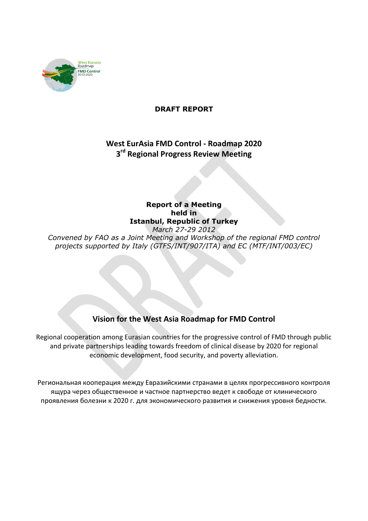

### **DRAFT REPORT**

# **West EurAsia FMD Control - Roadmap 2020 3 rd Regional Progress Review Meeting**

### **Report of a Meeting held in Istanbul, Republic of Turkey** *March 27-29 2012*

*Convened by FAO as a Joint Meeting and Workshop of the regional FMD control projects supported by Italy (GTFS/INT/907/ITA) and EC (MTF/INT/003/EC)*

# **Vision for the West Asia Roadmap for FMD Control**

Regional cooperation among Eurasian countries for the progressive control of FMD through public and private partnerships leading towards freedom of clinical disease by 2020 for regional economic development, food security, and poverty alleviation.

Региональная кооперация между Евразийскими странами в целях прогрессивного контроля ящура через общественное и частное партнерство ведет к свободе от клинического проявления болезни к 2020 г. для экономического развития и снижения уровня бедности.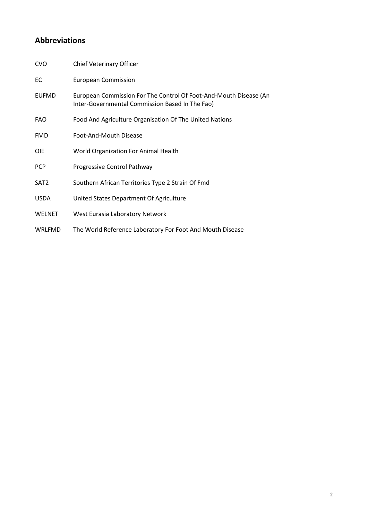# **Abbreviations**

| <b>CVO</b>       | Chief Veterinary Officer                                                                                             |
|------------------|----------------------------------------------------------------------------------------------------------------------|
| EC               | <b>European Commission</b>                                                                                           |
| <b>EUFMD</b>     | European Commission For The Control Of Foot-And-Mouth Disease (An<br>Inter-Governmental Commission Based In The Fao) |
| <b>FAO</b>       | Food And Agriculture Organisation Of The United Nations                                                              |
| <b>FMD</b>       | Foot-And-Mouth Disease                                                                                               |
| <b>OIE</b>       | World Organization For Animal Health                                                                                 |
| <b>PCP</b>       | Progressive Control Pathway                                                                                          |
| SAT <sub>2</sub> | Southern African Territories Type 2 Strain Of Fmd                                                                    |
| <b>USDA</b>      | United States Department Of Agriculture                                                                              |
| <b>WELNET</b>    | West Eurasia Laboratory Network                                                                                      |
| <b>WRLFMD</b>    | The World Reference Laboratory For Foot And Mouth Disease                                                            |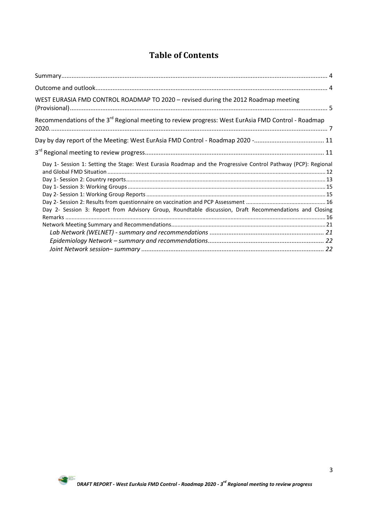# **Table of Contents**

| WEST EURASIA FMD CONTROL ROADMAP TO 2020 - revised during the 2012 Roadmap meeting                                                                                                                                      |  |
|-------------------------------------------------------------------------------------------------------------------------------------------------------------------------------------------------------------------------|--|
| Recommendations of the 3 <sup>rd</sup> Regional meeting to review progress: West EurAsia FMD Control - Roadmap                                                                                                          |  |
|                                                                                                                                                                                                                         |  |
|                                                                                                                                                                                                                         |  |
| Day 1- Session 1: Setting the Stage: West Eurasia Roadmap and the Progressive Control Pathway (PCP): Regional<br>Day 2- Session 3: Report from Advisory Group, Roundtable discussion, Draft Recommendations and Closing |  |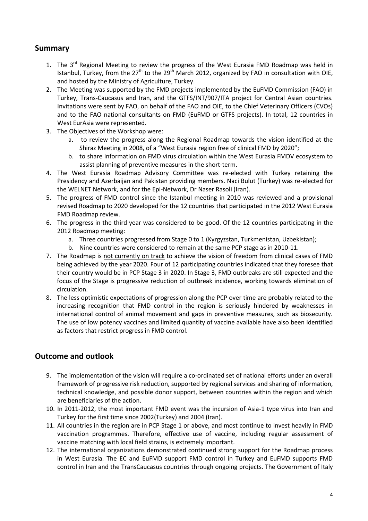### <span id="page-3-0"></span>**Summary**

- 1. The 3<sup>rd</sup> Regional Meeting to review the progress of the West Eurasia FMD Roadmap was held in Istanbul, Turkey, from the  $27<sup>th</sup>$  to the  $29<sup>th</sup>$  March 2012, organized by FAO in consultation with OIE. and hosted by the Ministry of Agriculture, Turkey.
- 2. The Meeting was supported by the FMD projects implemented by the EuFMD Commission (FAO) in Turkey, Trans-Caucasus and Iran, and the GTFS/INT/907/ITA project for Central Asian countries. Invitations were sent by FAO, on behalf of the FAO and OIE, to the Chief Veterinary Officers (CVOs) and to the FAO national consultants on FMD (EuFMD or GTFS projects). In total, 12 countries in West EurAsia were represented.
- 3. The Objectives of the Workshop were:
	- a. to review the progress along the Regional Roadmap towards the vision identified at the Shiraz Meeting in 2008, of a "West Eurasia region free of clinical FMD by 2020";
	- b. to share information on FMD virus circulation within the West Eurasia FMDV ecosystem to assist planning of preventive measures in the short-term.
- 4. The West Eurasia Roadmap Advisory Committee was re-elected with Turkey retaining the Presidency and Azerbaijan and Pakistan providing members. Naci Bulut (Turkey) was re-elected for the WELNET Network, and for the Epi-Network, Dr Naser Rasoli (Iran).
- 5. The progress of FMD control since the Istanbul meeting in 2010 was reviewed and a provisional revised Roadmap to 2020 developed for the 12 countries that participated in the 2012 West Eurasia FMD Roadmap review.
- 6. The progress in the third year was considered to be good. Of the 12 countries participating in the 2012 Roadmap meeting:
	- a. Three countries progressed from Stage 0 to 1 (Kyrgyzstan, Turkmenistan, Uzbekistan);
	- b. Nine countries were considered to remain at the same PCP stage as in 2010-11.
- 7. The Roadmap is not currently on track to achieve the vision of freedom from clinical cases of FMD being achieved by the year 2020. Four of 12 participating countries indicated that they foresee that their country would be in PCP Stage 3 in 2020. In Stage 3, FMD outbreaks are still expected and the focus of the Stage is progressive reduction of outbreak incidence, working towards elimination of circulation.
- 8. The less optimistic expectations of progression along the PCP over time are probably related to the increasing recognition that FMD control in the region is seriously hindered by weaknesses in international control of animal movement and gaps in preventive measures, such as biosecurity. The use of low potency vaccines and limited quantity of vaccine available have also been identified as factors that restrict progress in FMD control.

### <span id="page-3-1"></span>**Outcome and outlook**

- 9. The implementation of the vision will require a co-ordinated set of national efforts under an overall framework of progressive risk reduction, supported by regional services and sharing of information, technical knowledge, and possible donor support, between countries within the region and which are beneficiaries of the action.
- 10. In 2011-2012, the most important FMD event was the incursion of Asia-1 type virus into Iran and Turkey for the first time since 2002(Turkey) and 2004 (Iran).
- 11. All countries in the region are in PCP Stage 1 or above, and most continue to invest heavily in FMD vaccination programmes. Therefore, effective use of vaccine, including regular assessment of vaccine matching with local field strains, is extremely important.
- 12. The international organizations demonstrated continued strong support for the Roadmap process in West Eurasia. The EC and EuFMD support FMD control in Turkey and EuFMD supports FMD control in Iran and the TransCaucasus countries through ongoing projects. The Government of Italy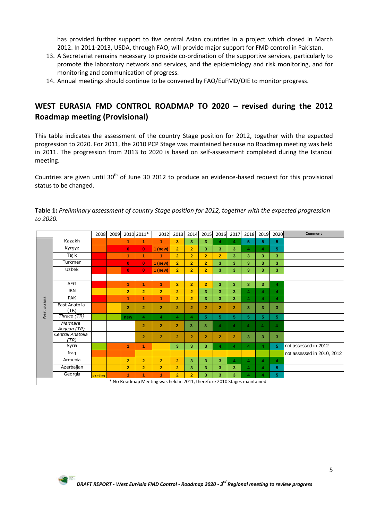has provided further support to five central Asian countries in a project which closed in March 2012. In 2011-2013, USDA, through FAO, will provide major support for FMD control in Pakistan.

- 13. A Secretariat remains necessary to provide co-ordination of the supportive services, particularly to promote the laboratory network and services, and the epidemiology and risk monitoring, and for monitoring and communication of progress.
- 14. Annual meetings should continue to be convened by FAO/EuFMD/OIE to monitor progress.

# <span id="page-4-0"></span>**WEST EURASIA FMD CONTROL ROADMAP TO 2020 – revised during the 2012 Roadmap meeting (Provisional)**

This table indicates the assessment of the country Stage position for 2012, together with the expected progression to 2020. For 2011, the 2010 PCP Stage was maintained because no Roadmap meeting was held in 2011. The progression from 2013 to 2020 is based on self-assessment completed during the Istanbul meeting.

Countries are given until  $30<sup>th</sup>$  of June 30 2012 to produce an evidence-based request for this provisional status to be changed.

|              |                                                                         | 2008    | 2009 |                | 2010 2011*     | 2012           | 2013           | 2014             | 2015           | 2016             | 2017                 | 2018                    | 2019           | 2020                    | Comment                    |
|--------------|-------------------------------------------------------------------------|---------|------|----------------|----------------|----------------|----------------|------------------|----------------|------------------|----------------------|-------------------------|----------------|-------------------------|----------------------------|
|              | Kazakh                                                                  |         |      | 1              | 1              | 1              | 3              | 3                | 3              | $\overline{4}$   | 4                    | 5                       | 5.             | 5.                      |                            |
|              | Kyrgyz                                                                  |         |      | $\mathbf{0}$   | $\bf{0}$       | $1$ (new)      | $\overline{2}$ | $\overline{2}$   | 3              | 3                | 3                    | 4                       | 4              | 5                       |                            |
|              | Tajik                                                                   |         |      | 1              | $\overline{1}$ | 1              | $\overline{2}$ | $\overline{2}$   | $\overline{2}$ | $\overline{2}$   | 3                    | 3                       | 3              | 3                       |                            |
|              | Turkmen                                                                 |         |      | $\mathbf{0}$   | $\mathbf{0}$   | $1$ (new)      | $\overline{2}$ | $\overline{2}$   | $\overline{2}$ | 3                | 3                    | 3                       | 3              | 3                       |                            |
|              | Uzbek                                                                   |         |      | $\mathbf{0}$   | $\mathbf{0}$   | $1$ (new)      | $\overline{2}$ | $\overline{2}$   | $\overline{2}$ | 3                | 3                    | 3                       | 3              | 3                       |                            |
|              |                                                                         |         |      |                |                |                |                |                  |                |                  |                      |                         |                |                         |                            |
|              | AFG                                                                     |         |      | 1              | $\overline{1}$ | 1              | $\overline{2}$ | $\overline{2}$   | $\overline{2}$ | 3                | 3                    | 3                       | 3              | 4                       |                            |
|              | <b>IRN</b>                                                              |         |      | $\overline{2}$ | $\overline{2}$ | $\overline{2}$ | $\overline{2}$ | $\overline{2}$   | 3              | 3                | 3                    | $\overline{a}$          | 4              | $\overline{\bf{4}}$     |                            |
|              | <b>PAK</b>                                                              |         |      | 1              | 1              | 1              | $\overline{2}$ | $\overline{2}$   | 3              | 3                | 3                    | $\blacktriangle$        | 4              | $\overline{\bf{4}}$     |                            |
| West Eurasia | East Anatolia<br>(TR)                                                   |         |      | $\overline{2}$ | $\overline{2}$ | $\overline{2}$ | $\overline{2}$ | $\overline{2}$   | $\overline{2}$ | $\overline{2}$   | $\overline{2}$       | 3                       | 3              | 3                       |                            |
|              | Thrace (TR)                                                             |         |      | new            | 4              | $\overline{4}$ | 4              | $\blacktriangle$ | 5              | 5 <sup>1</sup>   | 5                    | 5.                      | 5              | 5                       |                            |
|              | Marmara<br>Aegean (TR)                                                  |         |      |                | $\overline{2}$ | $\overline{2}$ | $\overline{2}$ | 3                | 3              | $\overline{4}$   | $\blacktriangleleft$ | $\overline{\mathbf{4}}$ | 4              | $\overline{\mathbf{4}}$ |                            |
|              | Central Anatolia<br>(TR)                                                |         |      |                | $\overline{2}$ | $\overline{2}$ | $\overline{2}$ | $\overline{2}$   | $\overline{2}$ | $\overline{2}$   | $\overline{2}$       | 3                       | 3              | 3                       |                            |
|              | Syria                                                                   |         |      | 1              | $\overline{1}$ |                | 3              | 3                | 3              | $\blacktriangle$ | $\overline{4}$       | 4                       | 4              | 5                       | not assessed in 2012       |
|              | Iraq                                                                    |         |      |                |                |                |                |                  |                |                  |                      |                         |                |                         | not assessed in 2010, 2012 |
|              | Armenia                                                                 |         |      | $\overline{2}$ | $\overline{2}$ | $\overline{2}$ | $\overline{2}$ | 3                | 3              | 3                | $\overline{4}$       | $\overline{4}$          | 4              | 4                       |                            |
|              | Azerbaijan                                                              |         |      | $\overline{2}$ | $\overline{2}$ | $\overline{2}$ | $\overline{2}$ | 3                | 3              | 3                | 3                    | $\overline{\bf{4}}$     | 4              | 5                       |                            |
|              | Georgia                                                                 | pending |      | 1              | 1              | 1              | $\overline{2}$ | $\overline{2}$   | 3              | 3                | 3                    | $\blacktriangle$        | $\overline{4}$ | 5                       |                            |
|              | * No Roadmap Meeting was held in 2011, therefore 2010 Stages maintained |         |      |                |                |                |                |                  |                |                  |                      |                         |                |                         |                            |

**Table 1:** *Preliminary assessment of country Stage position for 2012, together with the expected progression to 2020.*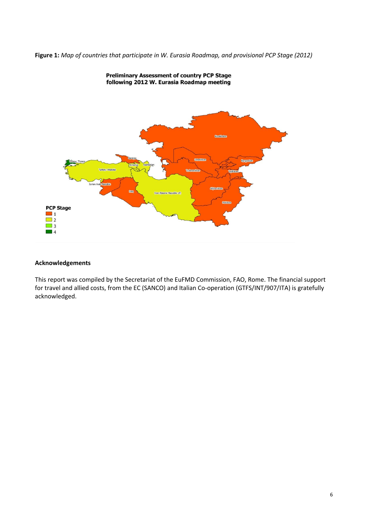**Figure 1:** *Map of countries that participate in W. Eurasia Roadmap, and provisional PCP Stage (2012)*



### **Preliminary Assessment of country PCP Stage** following 2012 W. Eurasia Roadmap meeting

### **Acknowledgements**

This report was compiled by the Secretariat of the EuFMD Commission, FAO, Rome. The financial support for travel and allied costs, from the EC (SANCO) and Italian Co-operation (GTFS/INT/907/ITA) is gratefully acknowledged.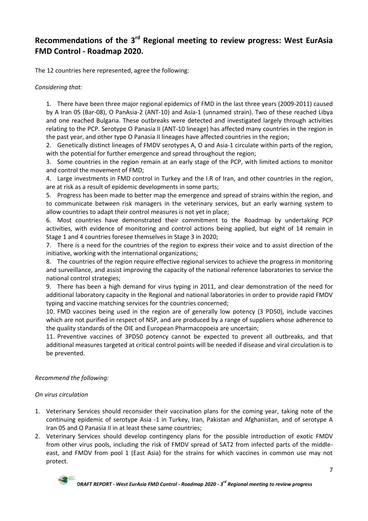# <span id="page-6-0"></span>Recommendations of the 3<sup>rd</sup> Regional meeting to review progress: West EurAsia **FMD Control - Roadmap 2020.**

The 12 countries here represented, agree the following:

*Considering that:*

1. There have been three major regional epidemics of FMD in the last three years (2009-2011) caused by A Iran 05 (Bar-08), O PanAsia-2 (ANT-10) and Asia-1 (unnamed strain). Two of these reached Libya and one reached Bulgaria. These outbreaks were detected and investigated largely through activities relating to the PCP. Serotype O Panasia II (ANT-10 lineage) has affected many countries in the region in the past year, and other type O Panasia II lineages have affected countries in the region;

2. Genetically distinct lineages of FMDV serotypes A, O and Asia-1 circulate within parts of the region, with the potential for further emergence and spread throughout the region;

3. Some countries in the region remain at an early stage of the PCP, with limited actions to monitor and control the movement of FMD;

4. Large investments in FMD control in Turkey and the I.R of Iran, and other countries in the region, are at risk as a result of epidemic developments in some parts;

5. Progress has been made to better map the emergence and spread of strains within the region, and to communicate between risk managers in the veterinary services, but an early warning system to allow countries to adapt their control measures is not yet in place;

6. Most countries have demonstrated their commitment to the Roadmap by undertaking PCP activities, with evidence of monitoring and control actions being applied, but eight of 14 remain in Stage 1 and 4 countries foresee themselves in Stage 3 in 2020;

7. There is a need for the countries of the region to express their voice and to assist direction of the initiative, working with the international organizations;

8. The countries of the region require effective regional services to achieve the progress in monitoring and surveillance, and assist improving the capacity of the national reference laboratories to service the national control strategies;

9. There has been a high demand for virus typing in 2011, and clear demonstration of the need for additional laboratory capacity in the Regional and national laboratories in order to provide rapid FMDV typing and vaccine matching services for the countries concerned;

10. FMD vaccines being used in the region are of generally low potency (3 PD50), include vaccines which are not purified in respect of NSP, and are produced by a range of suppliers whose adherence to the quality standards of the OIE and European Pharmacopoeia are uncertain;

11. Preventive vaccines of 3PD50 potency cannot be expected to prevent all outbreaks, and that additional measures targeted at critical control points will be needed if disease and viral circulation is to be prevented.

### *Recommend the following:*

*On virus circulation*

- 1. Veterinary Services should reconsider their vaccination plans for the coming year, taking note of the continuing epidemic of serotype Asia -1 in Turkey, Iran, Pakistan and Afghanistan, and of serotype A Iran 05 and O Panasia II in at least these same countries;
- 2. Veterinary Services should develop contingency plans for the possible introduction of exotic FMDV from other virus pools, including the risk of FMDV spread of SAT2 from infected parts of the middleeast, and FMDV from pool 1 (East Asia) for the strains for which vaccines in common use may not protect.

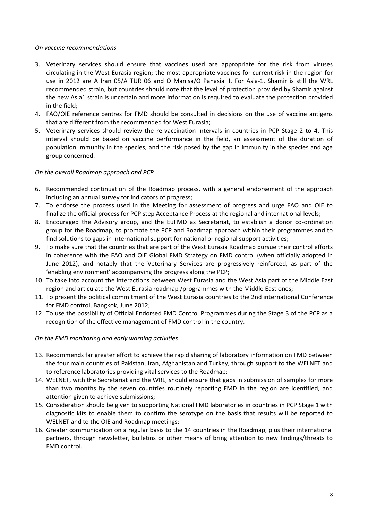### *On vaccine recommendations*

- 3. Veterinary services should ensure that vaccines used are appropriate for the risk from viruses circulating in the West Eurasia region; the most appropriate vaccines for current risk in the region for use in 2012 are A Iran 05/A TUR 06 and O Manisa/O Panasia II. For Asia-1, Shamir is still the WRL recommended strain, but countries should note that the level of protection provided by Shamir against the new Asia1 strain is uncertain and more information is required to evaluate the protection provided in the field;
- 4. FAO/OIE reference centres for FMD should be consulted in decisions on the use of vaccine antigens that are different from the recommended for West Eurasia;
- 5. Veterinary services should review the re-vaccination intervals in countries in PCP Stage 2 to 4. This interval should be based on vaccine performance in the field, an assessment of the duration of population immunity in the species, and the risk posed by the gap in immunity in the species and age group concerned.

### *On the overall Roadmap approach and PCP*

- 6. Recommended continuation of the Roadmap process, with a general endorsement of the approach including an annual survey for indicators of progress;
- 7. To endorse the process used in the Meeting for assessment of progress and urge FAO and OIE to finalize the official process for PCP step Acceptance Process at the regional and international levels;
- 8. Encouraged the Advisory group, and the EuFMD as Secretariat, to establish a donor co-ordination group for the Roadmap, to promote the PCP and Roadmap approach within their programmes and to find solutions to gaps in international support for national or regional support activities;
- 9. To make sure that the countries that are part of the West Eurasia Roadmap pursue their control efforts in coherence with the FAO and OIE Global FMD Strategy on FMD control (when officially adopted in June 2012), and notably that the Veterinary Services are progressively reinforced, as part of the 'enabling environment' accompanying the progress along the PCP;
- 10. To take into account the interactions between West Eurasia and the West Asia part of the Middle East region and articulate the West Eurasia roadmap /programmes with the Middle East ones;
- 11. To present the political commitment of the West Eurasia countries to the 2nd international Conference for FMD control, Bangkok, June 2012;
- 12. To use the possibility of Official Endorsed FMD Control Programmes during the Stage 3 of the PCP as a recognition of the effective management of FMD control in the country.

### *On the FMD monitoring and early warning activities*

- 13. Recommends far greater effort to achieve the rapid sharing of laboratory information on FMD between the four main countries of Pakistan, Iran, Afghanistan and Turkey, through support to the WELNET and to reference laboratories providing vital services to the Roadmap;
- 14. WELNET, with the Secretariat and the WRL, should ensure that gaps in submission of samples for more than two months by the seven countries routinely reporting FMD in the region are identified, and attention given to achieve submissions;
- 15. Consideration should be given to supporting National FMD laboratories in countries in PCP Stage 1 with diagnostic kits to enable them to confirm the serotype on the basis that results will be reported to WELNET and to the OIE and Roadmap meetings;
- 16. Greater communication on a regular basis to the 14 countries in the Roadmap, plus their international partners, through newsletter, bulletins or other means of bring attention to new findings/threats to FMD control.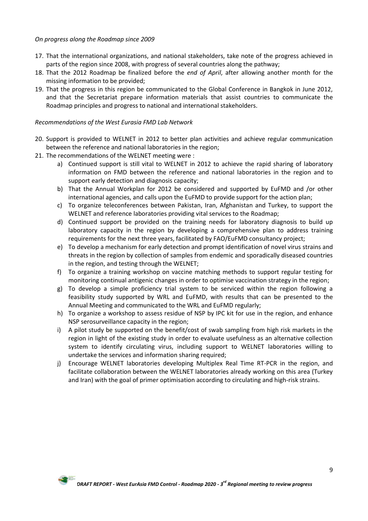### *On progress along the Roadmap since 2009*

- 17. That the international organizations, and national stakeholders, take note of the progress achieved in parts of the region since 2008, with progress of several countries along the pathway;
- 18. That the 2012 Roadmap be finalized before the *end of April*, after allowing another month for the missing information to be provided;
- 19. That the progress in this region be communicated to the Global Conference in Bangkok in June 2012, and that the Secretariat prepare information materials that assist countries to communicate the Roadmap principles and progress to national and international stakeholders.

### *Recommendations of the West Eurasia FMD Lab Network*

- 20. Support is provided to WELNET in 2012 to better plan activities and achieve regular communication between the reference and national laboratories in the region;
- 21. The recommendations of the WELNET meeting were :
	- a) Continued support is still vital to WELNET in 2012 to achieve the rapid sharing of laboratory information on FMD between the reference and national laboratories in the region and to support early detection and diagnosis capacity;
	- b) That the Annual Workplan for 2012 be considered and supported by EuFMD and /or other international agencies, and calls upon the EuFMD to provide support for the action plan;
	- c) To organize teleconferences between Pakistan, Iran, Afghanistan and Turkey, to support the WELNET and reference laboratories providing vital services to the Roadmap;
	- d) Continued support be provided on the training needs for laboratory diagnosis to build up laboratory capacity in the region by developing a comprehensive plan to address training requirements for the next three years, facilitated by FAO/EuFMD consultancy project;
	- e) To develop a mechanism for early detection and prompt identification of novel virus strains and threats in the region by collection of samples from endemic and sporadically diseased countries in the region, and testing through the WELNET;
	- f) To organize a training workshop on vaccine matching methods to support regular testing for monitoring continual antigenic changes in order to optimise vaccination strategy in the region;
	- g) To develop a simple proficiency trial system to be serviced within the region following a feasibility study supported by WRL and EuFMD, with results that can be presented to the Annual Meeting and communicated to the WRL and EuFMD regularly;
	- h) To organize a workshop to assess residue of NSP by IPC kit for use in the region, and enhance NSP serosurveillance capacity in the region;
	- i) A pilot study be supported on the benefit/cost of swab sampling from high risk markets in the region in light of the existing study in order to evaluate usefulness as an alternative collection system to identify circulating virus, including support to WELNET laboratories willing to undertake the services and information sharing required;
	- j) Encourage WELNET laboratories developing Multiplex Real Time RT-PCR in the region, and facilitate collaboration between the WELNET laboratories already working on this area (Turkey and Iran) with the goal of primer optimisation according to circulating and high-risk strains.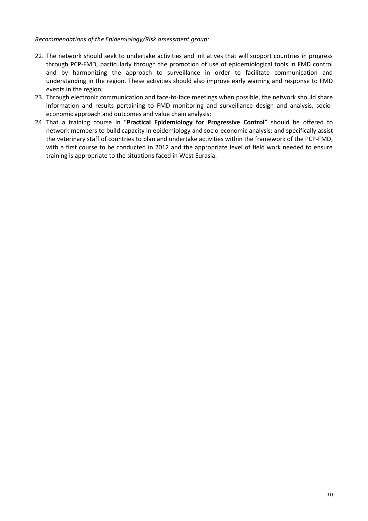### *Recommendations of the Epidemiology/Risk assessment group:*

- 22. The network should seek to undertake activities and initiatives that will support countries in progress through PCP-FMD, particularly through the promotion of use of epidemiological tools in FMD control and by harmonizing the approach to surveillance in order to facilitate communication and understanding in the region. These activities should also improve early warning and response to FMD events in the region;
- 23. Through electronic communication and face-to-face meetings when possible, the network should share information and results pertaining to FMD monitoring and surveillance design and analysis, socioeconomic approach and outcomes and value chain analysis;
- 24. That a training course in "**Practical Epidemiology for Progressive Control**" should be offered to network members to build capacity in epidemiology and socio-economic analysis; and specifically assist the veterinary staff of countries to plan and undertake activities within the framework of the PCP-FMD, with a first course to be conducted in 2012 and the appropriate level of field work needed to ensure training is appropriate to the situations faced in West Eurasia.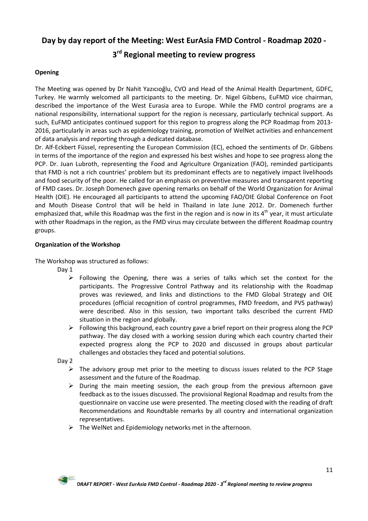### <span id="page-10-1"></span><span id="page-10-0"></span>**Day by day report of the Meeting: West EurAsia FMD Control - Roadmap 2020 -**

# **3 rd Regional meeting to review progress**

### **Opening**

The Meeting was opened by Dr Nahit Yazıcıoğlu, CVO and Head of the Animal Health Department, GDFC, Turkey. He warmly welcomed all participants to the meeting. Dr. Nigel Gibbens, EuFMD vice chairman, described the importance of the West Eurasia area to Europe. While the FMD control programs are a national responsibility, international support for the region is necessary, particularly technical support. As such, EuFMD anticipates continued support for this region to progress along the PCP Roadmap from 2013- 2016, particularly in areas such as epidemiology training, promotion of WelNet activities and enhancement of data analysis and reporting through a dedicated database.

Dr. Alf-Eckbert Füssel, representing the European Commission (EC), echoed the sentiments of Dr. Gibbens in terms of the importance of the region and expressed his best wishes and hope to see progress along the PCP. Dr. Juan Lubroth, representing the Food and Agriculture Organization (FAO), reminded participants that FMD is not a rich countries' problem but its predominant effects are to negatively impact livelihoods and food security of the poor. He called for an emphasis on preventive measures and transparent reporting of FMD cases. Dr. Joseph Domenech gave opening remarks on behalf of the World Organization for Animal Health (OIE). He encouraged all participants to attend the upcoming FAO/OIE Global Conference on Foot and Mouth Disease Control that will be held in Thailand in late June 2012. Dr. Domenech further emphasized that, while this Roadmap was the first in the region and is now in its 4<sup>th</sup> year, it must articulate with other Roadmaps in the region, as the FMD virus may circulate between the different Roadmap country groups.

### **Organization of the Workshop**

The Workshop was structured as follows:

- Day 1
	- $\triangleright$  Following the Opening, there was a series of talks which set the context for the participants. The Progressive Control Pathway and its relationship with the Roadmap proves was reviewed, and links and distinctions to the FMD Global Strategy and OIE procedures (official recognition of control programmes, FMD freedom, and PVS pathway) were described. Also in this session, two important talks described the current FMD situation in the region and globally.
	- $\triangleright$  Following this background, each country gave a brief report on their progress along the PCP pathway. The day closed with a working session during which each country charted their expected progress along the PCP to 2020 and discussed in groups about particular challenges and obstacles they faced and potential solutions.

Day 2

- $\triangleright$  The advisory group met prior to the meeting to discuss issues related to the PCP Stage assessment and the future of the Roadmap.
- $\triangleright$  During the main meeting session, the each group from the previous afternoon gave feedback as to the issues discussed. The provisional Regional Roadmap and results from the questionnaire on vaccine use were presented. The meeting closed with the reading of draft Recommendations and Roundtable remarks by all country and international organization representatives.
- $\triangleright$  The WelNet and Epidemiology networks met in the afternoon.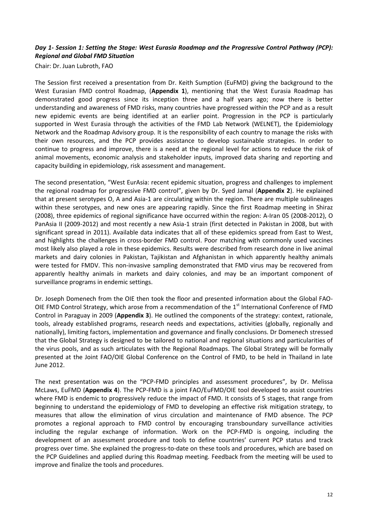### <span id="page-11-0"></span>*Day 1- Session 1: Setting the Stage: West Eurasia Roadmap and the Progressive Control Pathway (PCP): Regional and Global FMD Situation*

Chair: Dr. Juan Lubroth, FAO

The Session first received a presentation from Dr. Keith Sumption (EuFMD) giving the background to the West Eurasian FMD control Roadmap, (**Appendix 1**), mentioning that the West Eurasia Roadmap has demonstrated good progress since its inception three and a half years ago; now there is better understanding and awareness of FMD risks, many countries have progressed within the PCP and as a result new epidemic events are being identified at an earlier point. Progression in the PCP is particularly supported in West Eurasia through the activities of the FMD Lab Network (WELNET), the Epidemiology Network and the Roadmap Advisory group. It is the responsibility of each country to manage the risks with their own resources, and the PCP provides assistance to develop sustainable strategies. In order to continue to progress and improve, there is a need at the regional level for actions to reduce the risk of animal movements, economic analysis and stakeholder inputs, improved data sharing and reporting and capacity building in epidemiology, risk assessment and management.

The second presentation, "West EurAsia: recent epidemic situation, progress and challenges to implement the regional roadmap for progressive FMD control", given by Dr. Syed Jamal (**Appendix 2**). He explained that at present serotypes O, A and Asia-1 are circulating within the region. There are multiple sublineages within these serotypes, and new ones are appearing rapidly. Since the first Roadmap meeting in Shiraz (2008), three epidemics of regional significance have occurred within the region: A-Iran 05 (2008-2012), O PanAsia II (2009-2012) and most recently a new Asia-1 strain (first detected in Pakistan in 2008, but with significant spread in 2011). Available data indicates that all of these epidemics spread from East to West, and highlights the challenges in cross-border FMD control. Poor matching with commonly used vaccines most likely also played a role in these epidemics. Results were described from research done in live animal markets and dairy colonies in Pakistan, Tajikistan and Afghanistan in which apparently healthy animals were tested for FMDV. This non-invasive sampling demonstrated that FMD virus may be recovered from apparently healthy animals in markets and dairy colonies, and may be an important component of surveillance programs in endemic settings.

Dr. Joseph Domenech from the OIE then took the floor and presented information about the Global FAO-OIE FMD Control Strategy, which arose from a recommendation of the 1<sup>st</sup> International Conference of FMD Control in Paraguay in 2009 (**Appendix 3**). He outlined the components of the strategy: context, rationale, tools, already established programs, research needs and expectations, activities (globally, regionally and nationally), limiting factors, implementation and governance and finally conclusions. Dr Domenech stressed that the Global Strategy is designed to be tailored to national and regional situations and particularities of the virus pools, and as such articulates with the Regional Roadmaps. The Global Strategy will be formally presented at the Joint FAO/OIE Global Conference on the Control of FMD, to be held in Thailand in late June 2012.

The next presentation was on the "PCP-FMD principles and assessment procedures", by Dr. Melissa McLaws, EuFMD (**Appendix 4**). The PCP-FMD is a joint FAO/EuFMD/OIE tool developed to assist countries where FMD is endemic to progressively reduce the impact of FMD. It consists of 5 stages, that range from beginning to understand the epidemiology of FMD to developing an effective risk mitigation strategy, to measures that allow the elimination of virus circulation and maintenance of FMD absence. The PCP promotes a regional approach to FMD control by encouraging transboundary surveillance activities including the regular exchange of information. Work on the PCP-FMD is ongoing, including the development of an assessment procedure and tools to define countries' current PCP status and track progress over time. She explained the progress-to-date on these tools and procedures, which are based on the PCP Guidelines and applied during this Roadmap meeting. Feedback from the meeting will be used to improve and finalize the tools and procedures.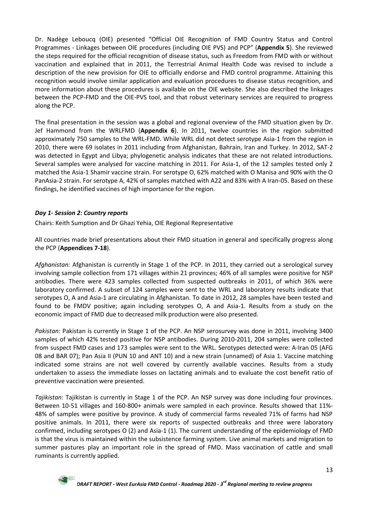Dr. Nadège Leboucq (OIE) presented "Official OIE Recognition of FMD Country Status and Control Programmes - Linkages between OIE procedures (including OIE PVS) and PCP" (**Appendix 5**). She reviewed the steps required for the official recognition of disease status, such as Freedom from FMD with or without vaccination and explained that in 2011, the Terrestrial Animal Health Code was revised to include a description of the new provision for OIE to officially endorse and FMD control programme. Attaining this recognition would involve similar application and evaluation procedures to disease status recognition, and more information about these procedures is available on the OIE website. She also described the linkages between the PCP-FMD and the OIE-PVS tool, and that robust veterinary services are required to progress along the PCP.

The final presentation in the session was a global and regional overview of the FMD situation given by Dr. Jef Hammond from the WRLFMD (**Appendix 6**). In 2011, twelve countries in the region submitted approximately 750 samples to the WRL-FMD. While WRL did not detect serotype Asia-1 from the region in 2010, there were 69 isolates in 2011 including from Afghanistan, Bahrain, Iran and Turkey. In 2012, SAT-2 was detected in Egypt and Libya; phylogenetic analysis indicates that these are not related introductions. Several samples were analysed for vaccine matching in 2011. For Asia-1, of the 12 samples tested only 2 matched the Asia-1 Shamir vaccine strain. For serotype O, 62% matched with O Manisa and 90% with the O PanAsia-2 strain. For serotype A, 42% of samples matched with A22 and 83% with A Iran-05. Based on these findings, he identified vaccines of high importance for the region.

### <span id="page-12-0"></span>*Day 1- Session 2: Country reports*

Chairs: Keith Sumption and Dr Ghazi Yehia, OIE Regional Representative

All countries made brief presentations about their FMD situation in general and specifically progress along the PCP (**Appendices 7-18**).

*Afghanistan:* Afghanistan is currently in Stage 1 of the PCP. In 2011, they carried out a serological survey involving sample collection from 171 villages within 21 provinces; 46% of all samples were positive for NSP antibodies. There were 423 samples collected from suspected outbreaks in 2011, of which 36% were laboratory confirmed. A subset of 124 samples were sent to the WRL and laboratory results indicate that serotypes O, A and Asia-1 are circulating in Afghanistan. To date in 2012, 28 samples have been tested and found to be FMDV positive; again including serotypes O, A and Asia-1. Results from a study on the economic impact of FMD due to decreased milk production were also presented.

*Pakistan:* Pakistan is currently in Stage 1 of the PCP. An NSP serosurvey was done in 2011, involving 3400 samples of which 42% tested positive for NSP antibodies. During 2010-2011, 204 samples were collected from suspect FMD cases and 173 samples were sent to the WRL. Serotypes detected were: A-Iran 05 (AFG 08 and BAR 07); Pan Asia II (PUN 10 and ANT 10) and a new strain (unnamed) of Asia 1. Vaccine matching indicated some strains are not well covered by currently available vaccines. Results from a study undertaken to assess the immediate losses on lactating animals and to evaluate the cost benefit ratio of preventive vaccination were presented.

*Tajikistan*: Tajikistan is currently in Stage 1 of the PCP. An NSP survey was done including four provinces. Between 10-51 villages and 160-800+ animals were sampled in each province. Results showed that 11%- 48% of samples were positive by province. A study of commercial farms revealed 71% of farms had NSP positive animals. In 2011, there were six reports of suspected outbreaks and three were laboratory confirmed, including serotypes O (2) and Asia-1 (1). The current understanding of the epidemiology of FMD is that the virus is maintained within the subsistence farming system. Live animal markets and migration to summer pastures play an important role in the spread of FMD. Mass vaccination of cattle and small ruminants is currently applied.

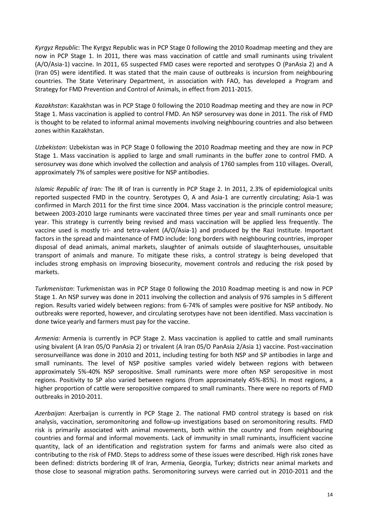*Kyrgyz Republic*: The Kyrgyz Republic was in PCP Stage 0 following the 2010 Roadmap meeting and they are now in PCP Stage 1. In 2011, there was mass vaccination of cattle and small ruminants using trivalent (A/O/Asia-1) vaccine. In 2011, 65 suspected FMD cases were reported and serotypes O (PanAsia 2) and A (Iran 05) were identified. It was stated that the main cause of outbreaks is incursion from neighbouring countries. The State Veterinary Department, in association with FAO, has developed a Program and Strategy for FMD Prevention and Control of Animals, in effect from 2011-2015.

*Kazakhstan*: Kazakhstan was in PCP Stage 0 following the 2010 Roadmap meeting and they are now in PCP Stage 1. Mass vaccination is applied to control FMD. An NSP serosurvey was done in 2011. The risk of FMD is thought to be related to informal animal movements involving neighbouring countries and also between zones within Kazakhstan.

*Uzbekistan*: Uzbekistan was in PCP Stage 0 following the 2010 Roadmap meeting and they are now in PCP Stage 1. Mass vaccination is applied to large and small ruminants in the buffer zone to control FMD. A serosurvey was done which involved the collection and analysis of 1760 samples from 110 villages. Overall, approximately 7% of samples were positive for NSP antibodies.

*Islamic Republic of Iran:* The IR of Iran is currently in PCP Stage 2. In 2011, 2.3% of epidemiological units reported suspected FMD in the country. Serotypes O, A and Asia-1 are currently circulating; Asia-1 was confirmed in March 2011 for the first time since 2004. Mass vaccination is the principle control measure; between 2003-2010 large ruminants were vaccinated three times per year and small ruminants once per year. This strategy is currently being revised and mass vaccination will be applied less frequently. The vaccine used is mostly tri- and tetra-valent (A/O/Asia-1) and produced by the Razi Institute. Important factors in the spread and maintenance of FMD include: long borders with neighbouring countries, improper disposal of dead animals, animal markets, slaughter of animals outside of slaughterhouses, unsuitable transport of animals and manure. To mitigate these risks, a control strategy is being developed that includes strong emphasis on improving biosecurity, movement controls and reducing the risk posed by markets.

*Turkmenistan*: Turkmenistan was in PCP Stage 0 following the 2010 Roadmap meeting is and now in PCP Stage 1. An NSP survey was done in 2011 involving the collection and analysis of 976 samples in 5 different region. Results varied widely between regions: from 6-74% of samples were positive for NSP antibody. No outbreaks were reported, however, and circulating serotypes have not been identified. Mass vaccination is done twice yearly and farmers must pay for the vaccine.

*Armenia:* Armenia is currently in PCP Stage 2. Mass vaccination is applied to cattle and small ruminants using bivalent (A Iran 05/O PanAsia 2) or trivalent (A Iran 05/O PanAsia 2/Asia 1) vaccine. Post-vaccination serosurveillance was done in 2010 and 2011, including testing for both NSP and SP antibodies in large and small ruminants. The level of NSP positive samples varied widely between regions with between approximately 5%-40% NSP seropositive. Small ruminants were more often NSP seropositive in most regions. Positivity to SP also varied between regions (from approximately 45%-85%). In most regions, a higher proportion of cattle were seropositive compared to small ruminants. There were no reports of FMD outbreaks in 2010-2011.

*Azerbaijan*: Azerbaijan is currently in PCP Stage 2. The national FMD control strategy is based on risk analysis, vaccination, seromonitoring and follow-up investigations based on seromonitoring results. FMD risk is primarily associated with animal movements, both within the country and from neighbouring countries and formal and informal movements. Lack of immunity in small ruminants, insufficient vaccine quantity, lack of an identification and registration system for farms and animals were also cited as contributing to the risk of FMD. Steps to address some of these issues were described. High risk zones have been defined: districts bordering IR of Iran, Armenia, Georgia, Turkey; districts near animal markets and those close to seasonal migration paths. Seromonitoring surveys were carried out in 2010-2011 and the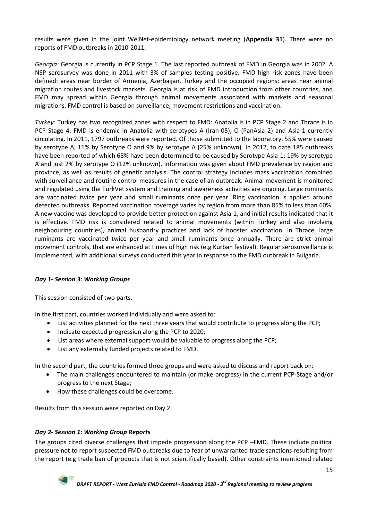results were given in the joint WelNet-epidemiology network meeting (**Appendix 31**). There were no reports of FMD outbreaks in 2010-2011.

*Georgia:* Georgia is currently in PCP Stage 1. The last reported outbreak of FMD in Georgia was in 2002. A NSP serosurvey was done in 2011 with 3% of samples testing positive. FMD high risk zones have been defined: areas near border of Armenia, Azerbaijan, Turkey and the occupied regions; areas near animal migration routes and livestock markets. Georgia is at risk of FMD introduction from other countries, and FMD may spread within Georgia through animal movements associated with markets and seasonal migrations. FMD control is based on surveillance, movement restrictions and vaccination.

*Turkey:* Turkey has two recognized zones with respect to FMD: Anatolia is in PCP Stage 2 and Thrace is in PCP Stage 4. FMD is endemic in Anatolia with serotypes A (Iran-05), O (PanAsia 2) and Asia-1 currently circulating. In 2011, 1797 outbreaks were reported. Of those submitted to the laboratory, 55% were caused by serotype A, 11% by Serotype O and 9% by serotype A (25% unknown). In 2012, to date 185 outbreaks have been reported of which 68% have been determined to be caused by Serotype Asia-1; 19% by serotype A and just 2% by serotype O (12% unknown). Information was given about FMD prevalence by region and province, as well as results of genetic analysis. The control strategy includes mass vaccination combined with surveillance and routine control measures in the case of an outbreak. Animal movement is monitored and regulated using the TurkVet system and training and awareness activities are ongoing. Large ruminants are vaccinated twice per year and small ruminants once per year. Ring vaccination is applied around detected outbreaks. Reported vaccination coverage varies by region from more than 85% to less than 60%. A new vaccine was developed to provide better protection against Asia-1, and initial results indicated that it is effective. FMD risk is considered related to animal movements (within Turkey and also involving neighbouring countries), animal husbandry practices and lack of booster vaccination. In Thrace, large ruminants are vaccinated twice per year and small ruminants once annually. There are strict animal movement controls, that are enhanced at times of high risk (e.g Kurban festival). Regular serosurveillance is implemented, with additional surveys conducted this year in response to the FMD outbreak in Bulgaria.

### <span id="page-14-0"></span>*Day 1- Session 3: Working Groups*

This session consisted of two parts.

In the first part, countries worked individually and were asked to:

- List activities planned for the next three years that would contribute to progress along the PCP;
- Indicate expected progression along the PCP to 2020;
- List areas where external support would be valuable to progress along the PCP;
- List any externally funded projects related to FMD.

In the second part, the countries formed three groups and were asked to discuss and report back on:

- The main challenges encountered to maintain (or make progress) in the current PCP-Stage and/or progress to the next Stage;
- How these challenges could be overcome.

Results from this session were reported on Day 2.

### <span id="page-14-1"></span>*Day 2- Session 1: Working Group Reports*

The groups cited diverse challenges that impede progression along the PCP –FMD. These include political pressure not to report suspected FMD outbreaks due to fear of unwarranted trade sanctions resulting from the report (e.g trade ban of products that is not scientifically based). Other constraints mentioned related

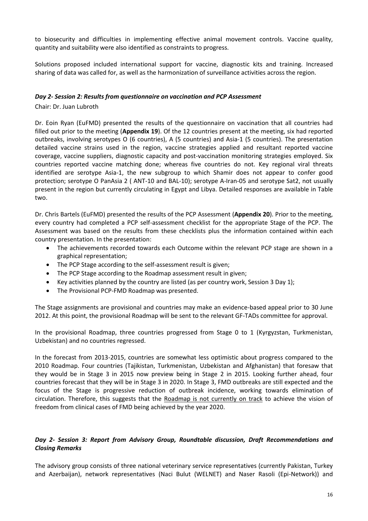to biosecurity and difficulties in implementing effective animal movement controls. Vaccine quality, quantity and suitability were also identified as constraints to progress.

Solutions proposed included international support for vaccine, diagnostic kits and training. Increased sharing of data was called for, as well as the harmonization of surveillance activities across the region.

### <span id="page-15-0"></span>*Day 2- Session 2: Results from questionnaire on vaccination and PCP Assessment*

Chair: Dr. Juan Lubroth

Dr. Eoin Ryan (EuFMD) presented the results of the questionnaire on vaccination that all countries had filled out prior to the meeting (**Appendix 19**). Of the 12 countries present at the meeting, six had reported outbreaks, involving serotypes O (6 countries), A (5 countries) and Asia-1 (5 countries). The presentation detailed vaccine strains used in the region, vaccine strategies applied and resultant reported vaccine coverage, vaccine suppliers, diagnostic capacity and post-vaccination monitoring strategies employed. Six countries reported vaccine matching done; whereas five countries do not. Key regional viral threats identified are serotype Asia-1, the new subgroup to which Shamir does not appear to confer good protection; serotype O PanAsia 2 ( ANT-10 and BAL-10); serotype A-Iran-05 and serotype Sat2, not usually present in the region but currently circulating in Egypt and Libya. Detailed responses are available in Table two.

Dr. Chris Bartels (EuFMD) presented the results of the PCP Assessment (**Appendix 20**). Prior to the meeting, every country had completed a PCP self-assessment checklist for the appropriate Stage of the PCP. The Assessment was based on the results from these checklists plus the information contained within each country presentation. In the presentation:

- The achievements recorded towards each Outcome within the relevant PCP stage are shown in a graphical representation;
- The PCP Stage according to the self-assessment result is given;
- The PCP Stage according to the Roadmap assessment result in given;
- Key activities planned by the country are listed (as per country work, Session 3 Day 1);
- The Provisional PCP-FMD Roadmap was presented.

The Stage assignments are provisional and countries may make an evidence-based appeal prior to 30 June 2012. At this point, the provisional Roadmap will be sent to the relevant GF-TADs committee for approval.

In the provisional Roadmap, three countries progressed from Stage 0 to 1 (Kyrgyzstan, Turkmenistan, Uzbekistan) and no countries regressed.

In the forecast from 2013-2015, countries are somewhat less optimistic about progress compared to the 2010 Roadmap. Four countries (Tajikistan, Turkmenistan, Uzbekistan and Afghanistan) that foresaw that they would be in Stage 3 in 2015 now preview being in Stage 2 in 2015. Looking further ahead, four countries forecast that they will be in Stage 3 in 2020. In Stage 3, FMD outbreaks are still expected and the focus of the Stage is progressive reduction of outbreak incidence, working towards elimination of circulation. Therefore, this suggests that the Roadmap is not currently on track to achieve the vision of freedom from clinical cases of FMD being achieved by the year 2020.

### <span id="page-15-1"></span>*Day 2- Session 3: Report from Advisory Group, Roundtable discussion, Draft Recommendations and Closing Remarks*

The advisory group consists of three national veterinary service representatives (currently Pakistan, Turkey and Azerbaijan), network representatives (Naci Bulut (WELNET) and Naser Rasoli (Epi-Network)) and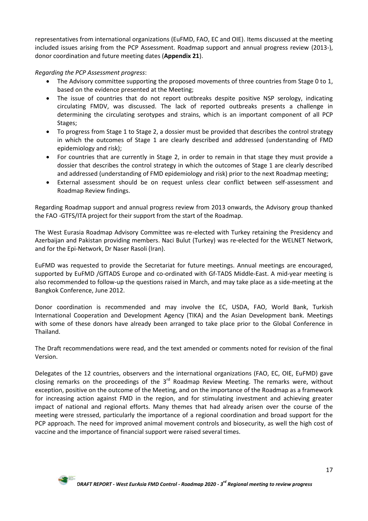representatives from international organizations (EuFMD, FAO, EC and OIE). Items discussed at the meeting included issues arising from the PCP Assessment. Roadmap support and annual progress review (2013-), donor coordination and future meeting dates (**Appendix 21**).

### *Regarding the PCP Assessment progress*:

- The Advisory committee supporting the proposed movements of three countries from Stage 0 to 1, based on the evidence presented at the Meeting;
- The issue of countries that do not report outbreaks despite positive NSP serology, indicating circulating FMDV, was discussed. The lack of reported outbreaks presents a challenge in determining the circulating serotypes and strains, which is an important component of all PCP Stages;
- To progress from Stage 1 to Stage 2, a dossier must be provided that describes the control strategy in which the outcomes of Stage 1 are clearly described and addressed (understanding of FMD epidemiology and risk);
- For countries that are currently in Stage 2, in order to remain in that stage they must provide a dossier that describes the control strategy in which the outcomes of Stage 1 are clearly described and addressed (understanding of FMD epidemiology and risk) prior to the next Roadmap meeting;
- External assessment should be on request unless clear conflict between self-assessment and Roadmap Review findings.

Regarding Roadmap support and annual progress review from 2013 onwards, the Advisory group thanked the FAO -GTFS/ITA project for their support from the start of the Roadmap.

The West Eurasia Roadmap Advisory Committee was re-elected with Turkey retaining the Presidency and Azerbaijan and Pakistan providing members. Naci Bulut (Turkey) was re-elected for the WELNET Network, and for the Epi-Network, Dr Naser Rasoli (Iran).

EuFMD was requested to provide the Secretariat for future meetings. Annual meetings are encouraged, supported by EuFMD /GfTADS Europe and co-ordinated with Gf-TADS Middle-East. A mid-year meeting is also recommended to follow-up the questions raised in March, and may take place as a side-meeting at the Bangkok Conference, June 2012.

Donor coordination is recommended and may involve the EC, USDA, FAO, World Bank, Turkish International Cooperation and Development Agency (TIKA) and the Asian Development bank. Meetings with some of these donors have already been arranged to take place prior to the Global Conference in Thailand.

The Draft recommendations were read, and the text amended or comments noted for revision of the final Version.

Delegates of the 12 countries, observers and the international organizations (FAO, EC, OIE, EuFMD) gave closing remarks on the proceedings of the  $3<sup>rd</sup>$  Roadmap Review Meeting. The remarks were, without exception, positive on the outcome of the Meeting, and on the importance of the Roadmap as a framework for increasing action against FMD in the region, and for stimulating investment and achieving greater impact of national and regional efforts. Many themes that had already arisen over the course of the meeting were stressed, particularly the importance of a regional coordination and broad support for the PCP approach. The need for improved animal movement controls and biosecurity, as well the high cost of vaccine and the importance of financial support were raised several times.

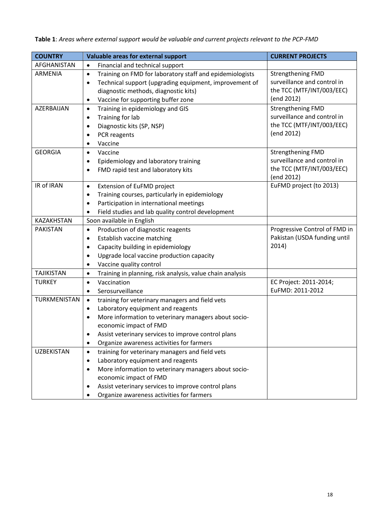| <b>COUNTRY</b>    | Valuable areas for external support                                            | <b>CURRENT PROJECTS</b>               |
|-------------------|--------------------------------------------------------------------------------|---------------------------------------|
| AFGHANISTAN       | Financial and technical support<br>$\bullet$                                   |                                       |
| ARMENIA           | Training on FMD for laboratory staff and epidemiologists<br>$\bullet$          | <b>Strengthening FMD</b>              |
|                   | Technical support (upgrading equipment, improvement of<br>٠                    | surveillance and control in           |
|                   | diagnostic methods, diagnostic kits)                                           | the TCC (MTF/INT/003/EEC)             |
|                   | Vaccine for supporting buffer zone<br>٠                                        | (end 2012)                            |
| AZERBAIJAN        | Training in epidemiology and GIS<br>$\bullet$                                  | <b>Strengthening FMD</b>              |
|                   | Training for lab<br>$\bullet$                                                  | surveillance and control in           |
|                   | Diagnostic kits (SP, NSP)<br>$\bullet$                                         | the TCC (MTF/INT/003/EEC)             |
|                   | PCR reagents                                                                   | (end 2012)                            |
|                   | Vaccine<br>$\bullet$                                                           |                                       |
| <b>GEORGIA</b>    | Vaccine<br>$\bullet$                                                           | <b>Strengthening FMD</b>              |
|                   | Epidemiology and laboratory training<br>$\bullet$                              | surveillance and control in           |
|                   | FMD rapid test and laboratory kits<br>$\bullet$                                | the TCC (MTF/INT/003/EEC)             |
| IR of IRAN        |                                                                                | (end 2012)<br>EuFMD project (to 2013) |
|                   | Extension of EuFMD project<br>$\bullet$                                        |                                       |
|                   | Training courses, particularly in epidemiology<br>$\bullet$                    |                                       |
|                   | Participation in international meetings<br>$\bullet$                           |                                       |
| <b>KAZAKHSTAN</b> | Field studies and lab quality control development<br>Soon available in English |                                       |
| <b>PAKISTAN</b>   | Production of diagnostic reagents<br>$\bullet$                                 | Progressive Control of FMD in         |
|                   | Establish vaccine matching<br>$\bullet$                                        | Pakistan (USDA funding until          |
|                   | Capacity building in epidemiology<br>$\bullet$                                 | 2014)                                 |
|                   | Upgrade local vaccine production capacity<br>٠                                 |                                       |
|                   | Vaccine quality control<br>$\bullet$                                           |                                       |
| <b>TAJIKISTAN</b> | Training in planning, risk analysis, value chain analysis<br>$\bullet$         |                                       |
| <b>TURKEY</b>     | Vaccination<br>$\bullet$                                                       | EC Project: 2011-2014;                |
|                   | Serosurveillance<br>$\bullet$                                                  | EuFMD: 2011-2012                      |
| TURKMENISTAN      | training for veterinary managers and field vets<br>$\bullet$                   |                                       |
|                   | Laboratory equipment and reagents<br>$\bullet$                                 |                                       |
|                   | More information to veterinary managers about socio-<br>٠                      |                                       |
|                   | economic impact of FMD                                                         |                                       |
|                   | Assist veterinary services to improve control plans<br>٠                       |                                       |
|                   | Organize awareness activities for farmers<br>٠                                 |                                       |
| <b>UZBEKISTAN</b> | training for veterinary managers and field vets<br>$\bullet$                   |                                       |
|                   | Laboratory equipment and reagents<br>$\bullet$                                 |                                       |
|                   | More information to veterinary managers about socio-<br>$\bullet$              |                                       |
|                   | economic impact of FMD                                                         |                                       |
|                   | Assist veterinary services to improve control plans                            |                                       |
|                   | Organize awareness activities for farmers<br>٠                                 |                                       |

**Table 1**: *Areas where external support would be valuable and current projects relevant to the PCP-FMD*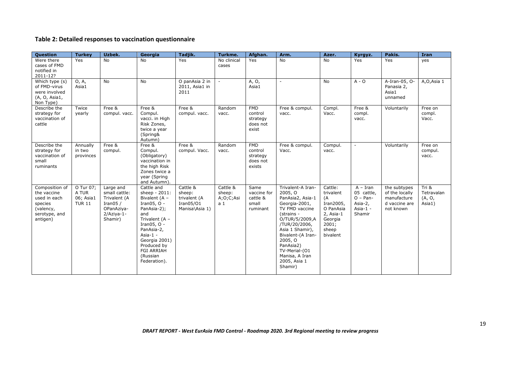### **Table 2: Detailed responses to vaccination questionnaire**

| Question                                                                                           | <b>Turkey</b>                                    | Uzbek.                                                                                            | Georgia                                                                                                                                                                                                                              | Tadjik.                                                           | Turkme.                                           | Afghan.                                                 | Arm.                                                                                                                                                                                                                                                               | Azer.                                                                                                         | Kyrgyz.                                                                     | Pakis.                                                                      | <b>Iran</b>                               |
|----------------------------------------------------------------------------------------------------|--------------------------------------------------|---------------------------------------------------------------------------------------------------|--------------------------------------------------------------------------------------------------------------------------------------------------------------------------------------------------------------------------------------|-------------------------------------------------------------------|---------------------------------------------------|---------------------------------------------------------|--------------------------------------------------------------------------------------------------------------------------------------------------------------------------------------------------------------------------------------------------------------------|---------------------------------------------------------------------------------------------------------------|-----------------------------------------------------------------------------|-----------------------------------------------------------------------------|-------------------------------------------|
| Were there<br>cases of FMD<br>notified in<br>2011-12?                                              | Yes                                              | <b>No</b>                                                                                         | <b>No</b>                                                                                                                                                                                                                            | Yes                                                               | No clinical<br>cases                              | Yes                                                     | <b>No</b>                                                                                                                                                                                                                                                          | No                                                                                                            | Yes                                                                         | Yes                                                                         | yes                                       |
| Which type (s)<br>of FMD-virus<br>were involved<br>(A, O, Asia1,<br>Non Type)                      | O, A,<br>Asia1                                   | <b>No</b>                                                                                         | <b>No</b>                                                                                                                                                                                                                            | O panAsia 2 in<br>2011, Asia1 in<br>2011                          |                                                   | A, O,<br>Asia1                                          | ÷.                                                                                                                                                                                                                                                                 | No                                                                                                            | $A - O$                                                                     | A-Iran-05, O-<br>Panasia 2,<br>Asia1<br>unnamed                             | A, O, Asia 1                              |
| Describe the<br>strategy for<br>vaccination of<br>cattle                                           | Twice<br>yearly                                  | Free &<br>compul. vacc.                                                                           | Free &<br>Compul.<br>vacci. in High<br>Risk Zones,<br>twice a year<br>(Spring&<br>Autumn)                                                                                                                                            | Free &<br>compul. vacc.                                           | Random<br>vacc.                                   | <b>FMD</b><br>control<br>strategy<br>does not<br>exist  | Free & compul.<br>vacc.                                                                                                                                                                                                                                            | Compl.<br>Vacc.                                                                                               | Free &<br>compl.<br>vacc.                                                   | Voluntarily                                                                 | Free on<br>compl.<br>Vacc.                |
| Describe the<br>strategy for<br>vaccination of<br>small<br>ruminants                               | Annually<br>in two<br>provinces                  | Free &<br>compul.                                                                                 | Free &<br>Compul.<br>(Obligatory)<br>vaccination in<br>the high Risk<br>Zones twice a<br>year (Spring<br>and Autumn).                                                                                                                | Free &<br>compul. Vacc.                                           | Random<br>vacc.                                   | <b>FMD</b><br>control<br>strategy<br>does not<br>exists | Free & compul.<br>Vacc.                                                                                                                                                                                                                                            | Compul.<br>vacc.                                                                                              | $\blacksquare$                                                              | Voluntarily                                                                 | Free on<br>compul.<br>vacc.               |
| Composition of<br>the vaccine<br>used in each<br>species<br>(valency,<br>serotype, and<br>antigen) | O Tur 07;<br>A TUR<br>06; Asia1<br><b>TUR 11</b> | Large and<br>small cattle:<br>Trivalent (A<br>Iran05 $/$<br>OPanAziya-<br>$2/Aziva-1-$<br>Shamir) | Cattle and<br>sheep - 2011:<br>Bivalent (A -<br>Iran05, $O -$<br>PanAsia-2);<br>and<br>Trivalent (A -<br>Iran05, $O -$<br>PanAsia-2,<br>Asia- $1 -$<br>Georgia 2001)<br>Produced by<br><b>FGI ARRIAH</b><br>(Russian<br>Federation). | Cattle &<br>sheep:<br>trivalent (A<br>Iran05/01<br>Manisa\Asia 1) | Cattle &<br>sheep:<br>A;O;C;Asi<br>a <sub>1</sub> | Same<br>vaccine for<br>cattle &<br>small<br>ruminant    | Trivalent-A Iran-<br>2005, O<br>PanAsia2, Asia-1<br>Georgia-2001,<br>TV FMD vaccine<br>(strains -<br>O/TUR/5/2009,A<br>/TUR/20/2006,<br>Asia 1 Shamir),<br>Bivalent-(A Iran-<br>2005, O<br>PanAsia2)<br>TV-Merial-(01<br>Manisa, A Iran<br>2005, Asia 1<br>Shamir) | Cattle:<br>trivalent<br>(A<br>Iran2005,<br>O PanAsia<br>$2$ , Asia-1<br>Georgia<br>2001;<br>sheep<br>bivalent | $A - Iran$<br>05 cattle,<br>$O - Pan -$<br>Asia-2,<br>Asia- $1 -$<br>Shamir | the subtypes<br>of the locally<br>manufacture<br>d vaccine are<br>not known | Tri $8$<br>Tetravalan<br>(A, O,<br>Asia1) |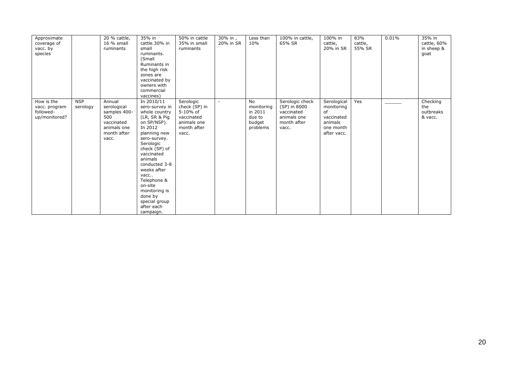| Approximate<br>coverage of<br>vacc. by<br>species         |                        | 20 % cattle,<br>16 % small<br>ruminants                                                           | 35% in<br>cattle.30% in<br>small<br>ruminants.<br>(Small<br>Ruminants in<br>the high risk<br>zones are<br>vaccinated by<br>owners with<br>commercial                                                                                                                                                                                   | 50% in cattle<br>35% in small<br>ruminants                                                  | 30% in,<br>20% in SR | Less than<br>10%                                                   | 100% in cattle,<br>65% SR                                                            | 100% in<br>cattle,<br>20% in SR                                                      | 83%<br>cattle,<br>55% SR | 0.01% | 35% in<br>cattle, 60%<br>in sheep &<br>goat |
|-----------------------------------------------------------|------------------------|---------------------------------------------------------------------------------------------------|----------------------------------------------------------------------------------------------------------------------------------------------------------------------------------------------------------------------------------------------------------------------------------------------------------------------------------------|---------------------------------------------------------------------------------------------|----------------------|--------------------------------------------------------------------|--------------------------------------------------------------------------------------|--------------------------------------------------------------------------------------|--------------------------|-------|---------------------------------------------|
| How is the<br>vacc. program<br>followed-<br>up/monitored? | <b>NSP</b><br>serology | Annual<br>serological<br>samples 400-<br>500<br>vaccinated<br>animals one<br>month after<br>vacc. | vaccines)<br>In 2010/11<br>sero-survey in<br>whole country<br>(LR, SR & Pig<br>on SP/NSP).<br>In 2012<br>planning new<br>sero-survey.<br>Serologic<br>check (SP) of<br>vaccinated<br>animals<br>conducted 3-8<br>weeks after<br>vacc<br>Telephone &<br>on-site<br>monitoring is<br>done by<br>special group<br>after each<br>campaign. | Serologic<br>check (SP) in<br>5-10% of<br>vaccinated<br>animals one<br>month after<br>vacc. | $\sim$               | <b>No</b><br>monitoring<br>in 2011<br>due to<br>budget<br>problems | Serologic check<br>(SP) in 8000<br>vaccinated<br>animals one<br>month after<br>vacc. | Serological<br>monitoring<br>of<br>vaccinated<br>animals<br>one month<br>after vacc. | Yes                      |       | Checking<br>the<br>outbreaks<br>& vacc.     |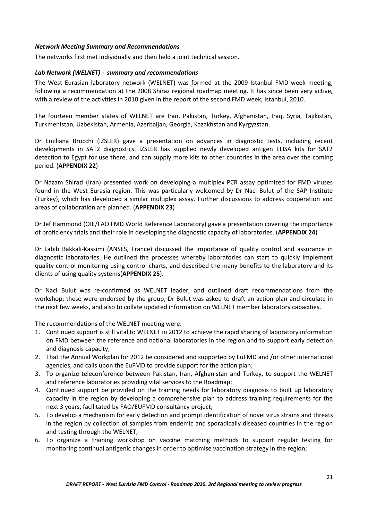### <span id="page-20-0"></span>*Network Meeting Summary and Recommendations*

<span id="page-20-1"></span>The networks first met individually and then held a joint technical session.

### *Lab Network (WELNET)* **-** *summary and recommendations*

The West Eurasian laboratory network (WELNET) was formed at the 2009 Istanbul FMD week meeting, following a recommendation at the 2008 Shiraz regional roadmap meeting. It has since been very active, with a review of the activities in 2010 given in the report of the second FMD week, Istanbul, 2010.

The fourteen member states of WELNET are Iran, Pakistan, Turkey, Afghanistan, Iraq, Syria, Tajikistan, Turkmenistan, Uzbekistan, Armenia, Azerbaijan, Georgia, Kazakhstan and Kyrgyzstan.

Dr Emiliana Brocchi (IZSLER) gave a presentation on advances in diagnostic tests, including recent developments in SAT2 diagnostics. IZSLER has supplied newly developed antigen ELISA kits for SAT2 detection to Egypt for use there, and can supply more kits to other countries in the area over the coming period. (**APPENDIX 22**)

Dr Nazam Shirazi (Iran) presented work on developing a multiplex PCR assay optimized for FMD viruses found in the West Eurasia region. This was particularly welcomed by Dr Naci Bulut of the SAP Institute (Turkey), which has developed a similar multiplex assay. Further discussions to address cooperation and areas of collaboration are planned. (**APPENDIX 23**)

Dr Jef Hammond (OIE/FAO FMD World Reference Laboratory) gave a presentation covering the importance of proficiency trials and their role in developing the diagnostic capacity of laboratories. (**APPENDIX 24**)

Dr Labib Bakkali-Kassimi (ANSES, France) discussed the importance of quality control and assurance in diagnostic laboratories. He outlined the processes whereby laboratories can start to quickly implement quality control monitoring using control charts, and described the many benefits to the laboratory and its clients of using quality systems(**APPENDIX 25**).

Dr Naci Bulut was re-confirmed as WELNET leader, and outlined draft recommendations from the workshop; these were endorsed by the group; Dr Bulut was asked to draft an action plan and circulate in the next few weeks, and also to collate updated information on WELNET member laboratory capacities.

The recommendations of the WELNET meeting were:

- 1. Continued support is still vital to WELNET in 2012 to achieve the rapid sharing of laboratory information on FMD between the reference and national laboratories in the region and to support early detection and diagnosis capacity;
- 2. That the Annual Workplan for 2012 be considered and supported by EuFMD and /or other international agencies, and calls upon the EuFMD to provide support for the action plan;
- 3. To organize teleconference between Pakistan, Iran, Afghanistan and Turkey, to support the WELNET and reference laboratories providing vital services to the Roadmap;
- 4. Continued support be provided on the training needs for laboratory diagnosis to built up laboratory capacity in the region by developing a comprehensive plan to address training requirements for the next 3 years, facilitated by FAO/EUFMD consultancy project;
- 5. To develop a mechanism for early detection and prompt identification of novel virus strains and threats in the region by collection of samples from endemic and sporadically diseased countries in the region and testing through the WELNET;
- 6. To organize a training workshop on vaccine matching methods to support regular testing for monitoring continual antigenic changes in order to optimise vaccination strategy in the region;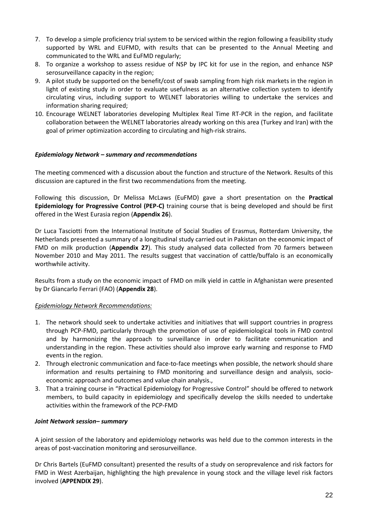- 7. To develop a simple proficiency trial system to be serviced within the region following a feasibility study supported by WRL and EUFMD, with results that can be presented to the Annual Meeting and communicated to the WRL and EuFMD regularly;
- 8. To organize a workshop to assess residue of NSP by IPC kit for use in the region, and enhance NSP serosurveillance capacity in the region;
- 9. A pilot study be supported on the benefit/cost of swab sampling from high risk markets in the region in light of existing study in order to evaluate usefulness as an alternative collection system to identify circulating virus, including support to WELNET laboratories willing to undertake the services and information sharing required;
- 10. Encourage WELNET laboratories developing Multiplex Real Time RT-PCR in the region, and facilitate collaboration between the WELNET laboratories already working on this area (Turkey and Iran) with the goal of primer optimization according to circulating and high-risk strains.

### <span id="page-21-0"></span>*Epidemiology Network – summary and recommendations*

The meeting commenced with a discussion about the function and structure of the Network. Results of this discussion are captured in the first two recommendations from the meeting.

Following this discussion, Dr Melissa McLaws (EuFMD) gave a short presentation on the **Practical Epidemiology for Progressive Control (PEP-C)** training course that is being developed and should be first offered in the West Eurasia region (**Appendix 26**).

Dr Luca Tasciotti from the International Institute of Social Studies of Erasmus, Rotterdam University, the Netherlands presented a summary of a longitudinal study carried out in Pakistan on the economic impact of FMD on milk production (**Appendix 27**). This study analysed data collected from 70 farmers between November 2010 and May 2011. The results suggest that vaccination of cattle/buffalo is an economically worthwhile activity.

Results from a study on the economic impact of FMD on milk yield in cattle in Afghanistan were presented by Dr Giancarlo Ferrari (FAO) (**Appendix 28**).

### *Epidemiology Network Recommendations:*

- 1. The network should seek to undertake activities and initiatives that will support countries in progress through PCP-FMD, particularly through the promotion of use of epidemiological tools in FMD control and by harmonizing the approach to surveillance in order to facilitate communication and understanding in the region. These activities should also improve early warning and response to FMD events in the region.
- 2. Through electronic communication and face-to-face meetings when possible, the network should share information and results pertaining to FMD monitoring and surveillance design and analysis, socioeconomic approach and outcomes and value chain analysis.,
- 3. That a training course in "Practical Epidemiology for Progressive Control" should be offered to network members, to build capacity in epidemiology and specifically develop the skills needed to undertake activities within the framework of the PCP-FMD

### <span id="page-21-1"></span>*Joint Network session– summary*

A joint session of the laboratory and epidemiology networks was held due to the common interests in the areas of post-vaccination monitoring and serosurveillance.

Dr Chris Bartels (EuFMD consultant) presented the results of a study on seroprevalence and risk factors for FMD in West Azerbaijan, highlighting the high prevalence in young stock and the village level risk factors involved (**APPENDIX 29**).